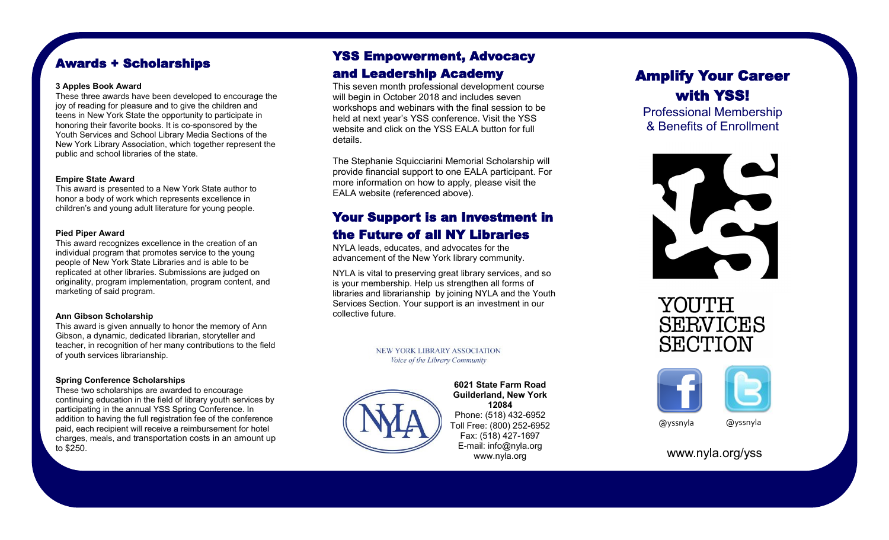# Awards + Scholarships

#### **3 Apples Book Award**

These three awards have been developed to encourage the joy of reading for pleasure and to give the children and teens in New York State the opportunity to participate in honoring their favorite books. It is co-sponsored by the Youth Services and School Library Media Sections of the New York Library Association, which together represent the public and school libraries of the state.

#### **Empire State Award**

This award is presented to a New York State author to honor a body of work which represents excellence in children's and young adult literature for young people.

#### **Pied Piper Award**

This award recognizes excellence in the creation of an individual program that promotes service to the young people of New York State Libraries and is able to be replicated at other libraries. Submissions are judged on originality, program implementation, program content, and marketing of said program.

#### **Ann Gibson Scholarship**

This award is given annually to honor the memory of Ann Gibson, a dynamic, dedicated librarian, storyteller and teacher, in recognition of her many contributions to the field of youth services librarianship.

#### **Spring Conference Scholarships**

These two scholarships are awarded to encourage continuing education in the field of library youth services by participating in the annual YSS Spring Conference. In addition to having the full registration fee of the conference paid, each recipient will receive a reimbursement for hotel charges, meals, and transportation costs in an amount up to \$250.

# YSS Empowerment, Advocacy and Leadership Academy

This seven month professional development course will begin in October 2018 and includes seven workshops and webinars with the final session to be held at next year's YSS conference. Visit the YSS website and click on the YSS EALA button for full details.

The Stephanie Squicciarini Memorial Scholarship will provide financial support to one EALA participant. For more information on how to apply, please visit the EALA website (referenced above).

## Your Support is an Investment in the Future of all NY Libraries

NYLA leads, educates, and advocates for the advancement of the New York library community.

NYLA is vital to preserving great library services, and so is your membership. Help us strengthen all forms of libraries and librarianship by joining NYLA and the Youth Services Section. Your support is an investment in our collective future.

> NEW YORK LIBRARY ASSOCIATION Voice of the Library Community



#### **6021 State Farm Road Guilderland, New York 12084** Phone: (518) 432-6952 Toll Free: (800) 252-6952 Fax: (518) 427-1697 E-mail: info@nyla.org www.nyla.org

# Amplify Your Career with YSS!

Professional Membership & Benefits of Enrollment







@yssnyla @yssnyla

www.nyla.org/yss